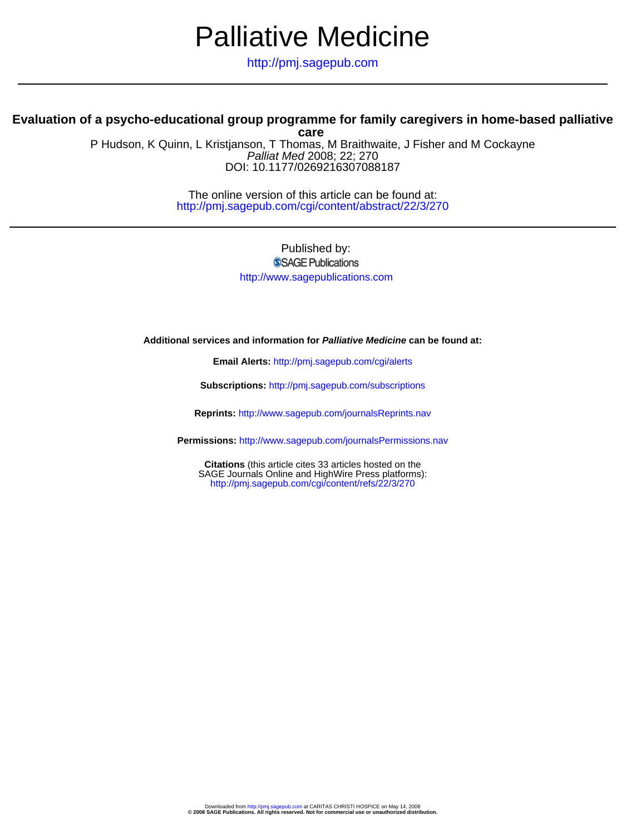# Palliative Medicine

http://pmj.sagepub.com

# **Evaluation of a psycho-educational group programme for family caregivers in home-based palliative**

DOI: 10.1177/0269216307088187 Palliat Med 2008; 22; 270 P Hudson, K Quinn, L Kristjanson, T Thomas, M Braithwaite, J Fisher and M Cockayne **care**

> http://pmj.sagepub.com/cgi/content/abstract/22/3/270 The online version of this article can be found at:

> > Published by: SSAGE Publications http://www.sagepublications.com

# **Additional services and information for Palliative Medicine can be found at:**

**Email Alerts:** <http://pmj.sagepub.com/cgi/alerts>

**Subscriptions:** <http://pmj.sagepub.com/subscriptions>

**Reprints:** <http://www.sagepub.com/journalsReprints.nav>

**Permissions:** <http://www.sagepub.com/journalsPermissions.nav>

<http://pmj.sagepub.com/cgi/content/refs/22/3/270> SAGE Journals Online and HighWire Press platforms): **Citations** (this article cites 33 articles hosted on the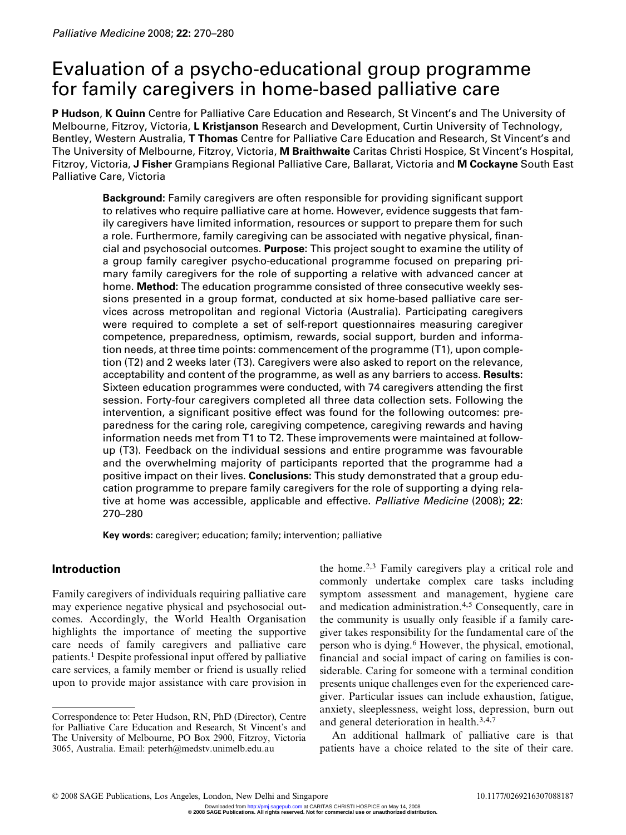# Evaluation of a psycho-educational group programme for family caregivers in home-based palliative care

P Hudson, K Quinn Centre for Palliative Care Education and Research, St Vincent's and The University of Melbourne, Fitzroy, Victoria, L Kristjanson Research and Development, Curtin University of Technology, Bentley, Western Australia, T Thomas Centre for Palliative Care Education and Research, St Vincent's and The University of Melbourne, Fitzroy, Victoria, M Braithwaite Caritas Christi Hospice, St Vincent's Hospital, Fitzroy, Victoria, J Fisher Grampians Regional Palliative Care, Ballarat, Victoria and M Cockayne South East Palliative Care, Victoria

Background: Family caregivers are often responsible for providing significant support to relatives who require palliative care at home. However, evidence suggests that family caregivers have limited information, resources or support to prepare them for such a role. Furthermore, family caregiving can be associated with negative physical, financial and psychosocial outcomes. Purpose: This project sought to examine the utility of a group family caregiver psycho-educational programme focused on preparing primary family caregivers for the role of supporting a relative with advanced cancer at home. Method: The education programme consisted of three consecutive weekly sessions presented in a group format, conducted at six home-based palliative care services across metropolitan and regional Victoria (Australia). Participating caregivers were required to complete a set of self-report questionnaires measuring caregiver competence, preparedness, optimism, rewards, social support, burden and information needs, at three time points: commencement of the programme (T1), upon completion (T2) and 2 weeks later (T3). Caregivers were also asked to report on the relevance, acceptability and content of the programme, as well as any barriers to access. Results: Sixteen education programmes were conducted, with 74 caregivers attending the first session. Forty-four caregivers completed all three data collection sets. Following the intervention, a significant positive effect was found for the following outcomes: preparedness for the caring role, caregiving competence, caregiving rewards and having information needs met from T1 to T2. These improvements were maintained at followup (T3). Feedback on the individual sessions and entire programme was favourable and the overwhelming majority of participants reported that the programme had a positive impact on their lives. Conclusions: This study demonstrated that a group education programme to prepare family caregivers for the role of supporting a dying relative at home was accessible, applicable and effective. Palliative Medicine (2008); 22: 270–280

Key words: caregiver; education; family; intervention; palliative

# Introduction

Family caregivers of individuals requiring palliative care may experience negative physical and psychosocial outcomes. Accordingly, the World Health Organisation highlights the importance of meeting the supportive care needs of family caregivers and palliative care patients.<sup>1</sup> Despite professional input offered by palliative care services, a family member or friend is usually relied upon to provide major assistance with care provision in the home.2,3 Family caregivers play a critical role and commonly undertake complex care tasks including symptom assessment and management, hygiene care and medication administration.<sup>4,5</sup> Consequently, care in the community is usually only feasible if a family caregiver takes responsibility for the fundamental care of the person who is dying.<sup>6</sup> However, the physical, emotional, financial and social impact of caring on families is considerable. Caring for someone with a terminal condition presents unique challenges even for the experienced caregiver. Particular issues can include exhaustion, fatigue, anxiety, sleeplessness, weight loss, depression, burn out and general deterioration in health.3,4,7

An additional hallmark of palliative care is that patients have a choice related to the site of their care.

Correspondence to: Peter Hudson, RN, PhD (Director), Centre for Palliative Care Education and Research, St Vincent's and The University of Melbourne, PO Box 2900, Fitzroy, Victoria 3065, Australia. Email: peterh@medstv.unimelb.edu.au

**<sup>© 2008</sup> SAGE Publications. All rights reserved. Not for commercial use or unauthorized distribution.** Downloaded from<http://pmj.sagepub.com>at CARITAS CHRISTI HOSPICE on May 14, 2008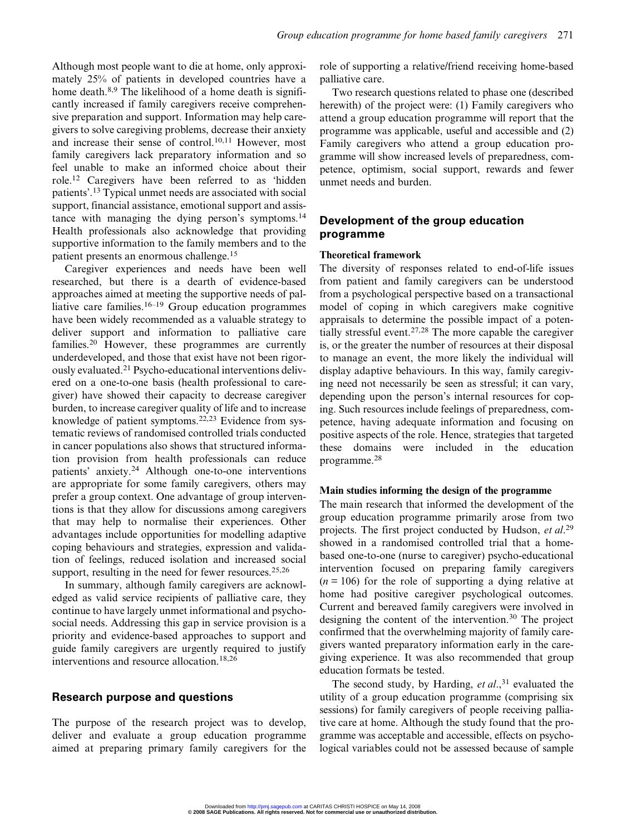Although most people want to die at home, only approximately 25% of patients in developed countries have a home death.<sup>8,9</sup> The likelihood of a home death is significantly increased if family caregivers receive comprehensive preparation and support. Information may help caregivers to solve caregiving problems, decrease their anxiety and increase their sense of control.<sup>10,11</sup> However, most family caregivers lack preparatory information and so feel unable to make an informed choice about their role.<sup>12</sup> Caregivers have been referred to as 'hidden patients'. <sup>13</sup> Typical unmet needs are associated with social support, financial assistance, emotional support and assistance with managing the dying person's symptoms.<sup>14</sup> Health professionals also acknowledge that providing supportive information to the family members and to the patient presents an enormous challenge.<sup>15</sup>

Caregiver experiences and needs have been well researched, but there is a dearth of evidence-based approaches aimed at meeting the supportive needs of palliative care families. $16-19$  Group education programmes have been widely recommended as a valuable strategy to deliver support and information to palliative care families.<sup>20</sup> However, these programmes are currently underdeveloped, and those that exist have not been rigorously evaluated.<sup>21</sup> Psycho-educational interventions delivered on a one-to-one basis (health professional to caregiver) have showed their capacity to decrease caregiver burden, to increase caregiver quality of life and to increase knowledge of patient symptoms.22,23 Evidence from systematic reviews of randomised controlled trials conducted in cancer populations also shows that structured information provision from health professionals can reduce patients' anxiety.<sup>24</sup> Although one-to-one interventions are appropriate for some family caregivers, others may prefer a group context. One advantage of group interventions is that they allow for discussions among caregivers that may help to normalise their experiences. Other advantages include opportunities for modelling adaptive coping behaviours and strategies, expression and validation of feelings, reduced isolation and increased social support, resulting in the need for fewer resources. $25,26$ 

In summary, although family caregivers are acknowledged as valid service recipients of palliative care, they continue to have largely unmet informational and psychosocial needs. Addressing this gap in service provision is a priority and evidence-based approaches to support and guide family caregivers are urgently required to justify interventions and resource allocation.18,26

# Research purpose and questions

The purpose of the research project was to develop, deliver and evaluate a group education programme aimed at preparing primary family caregivers for the role of supporting a relative/friend receiving home-based palliative care.

Two research questions related to phase one (described herewith) of the project were: (1) Family caregivers who attend a group education programme will report that the programme was applicable, useful and accessible and (2) Family caregivers who attend a group education programme will show increased levels of preparedness, competence, optimism, social support, rewards and fewer unmet needs and burden.

# Development of the group education programme

#### Theoretical framework

The diversity of responses related to end-of-life issues from patient and family caregivers can be understood from a psychological perspective based on a transactional model of coping in which caregivers make cognitive appraisals to determine the possible impact of a potentially stressful event.<sup>27,28</sup> The more capable the caregiver is, or the greater the number of resources at their disposal to manage an event, the more likely the individual will display adaptive behaviours. In this way, family caregiving need not necessarily be seen as stressful; it can vary, depending upon the person's internal resources for coping. Such resources include feelings of preparedness, competence, having adequate information and focusing on positive aspects of the role. Hence, strategies that targeted these domains were included in the education programme.<sup>28</sup>

#### Main studies informing the design of the programme

The main research that informed the development of the group education programme primarily arose from two projects. The first project conducted by Hudson, et al.<sup>29</sup> showed in a randomised controlled trial that a homebased one-to-one (nurse to caregiver) psycho-educational intervention focused on preparing family caregivers  $(n = 106)$  for the role of supporting a dying relative at home had positive caregiver psychological outcomes. Current and bereaved family caregivers were involved in designing the content of the intervention.<sup>30</sup> The project confirmed that the overwhelming majority of family caregivers wanted preparatory information early in the caregiving experience. It was also recommended that group education formats be tested.

The second study, by Harding,  $et al.,<sup>31</sup> evaluated the$ utility of a group education programme (comprising six sessions) for family caregivers of people receiving palliative care at home. Although the study found that the programme was acceptable and accessible, effects on psychological variables could not be assessed because of sample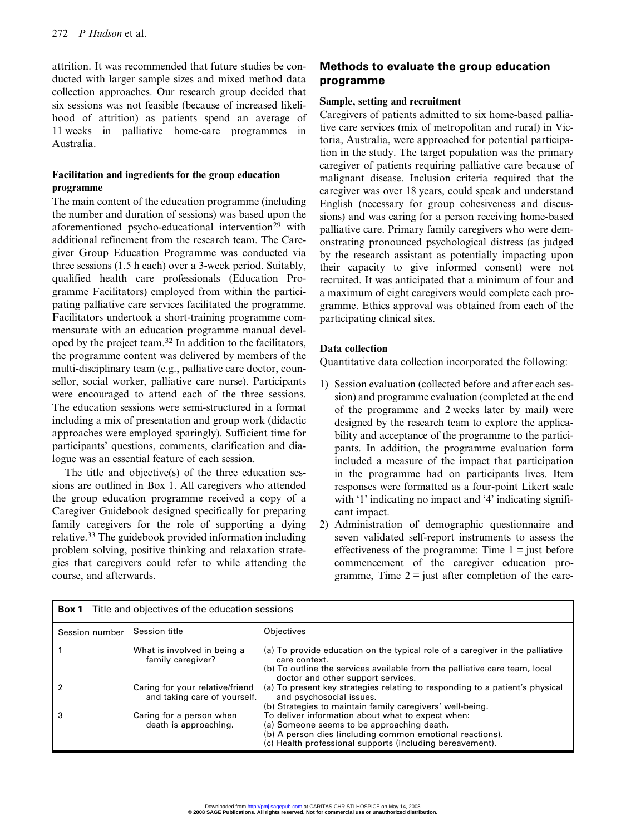attrition. It was recommended that future studies be conducted with larger sample sizes and mixed method data collection approaches. Our research group decided that six sessions was not feasible (because of increased likelihood of attrition) as patients spend an average of 11 weeks in palliative home-care programmes in Australia.

# Facilitation and ingredients for the group education programme

The main content of the education programme (including the number and duration of sessions) was based upon the aforementioned psycho-educational intervention<sup>29</sup> with additional refinement from the research team. The Caregiver Group Education Programme was conducted via three sessions (1.5 h each) over a 3-week period. Suitably, qualified health care professionals (Education Programme Facilitators) employed from within the participating palliative care services facilitated the programme. Facilitators undertook a short-training programme commensurate with an education programme manual developed by the project team.<sup>32</sup> In addition to the facilitators, the programme content was delivered by members of the multi-disciplinary team (e.g., palliative care doctor, counsellor, social worker, palliative care nurse). Participants were encouraged to attend each of the three sessions. The education sessions were semi-structured in a format including a mix of presentation and group work (didactic approaches were employed sparingly). Sufficient time for participants' questions, comments, clarification and dialogue was an essential feature of each session.

The title and objective(s) of the three education sessions are outlined in Box 1. All caregivers who attended the group education programme received a copy of a Caregiver Guidebook designed specifically for preparing family caregivers for the role of supporting a dying relative.<sup>33</sup> The guidebook provided information including problem solving, positive thinking and relaxation strategies that caregivers could refer to while attending the course, and afterwards.

# Methods to evaluate the group education programme

# Sample, setting and recruitment

Caregivers of patients admitted to six home-based palliative care services (mix of metropolitan and rural) in Victoria, Australia, were approached for potential participation in the study. The target population was the primary caregiver of patients requiring palliative care because of malignant disease. Inclusion criteria required that the caregiver was over 18 years, could speak and understand English (necessary for group cohesiveness and discussions) and was caring for a person receiving home-based palliative care. Primary family caregivers who were demonstrating pronounced psychological distress (as judged by the research assistant as potentially impacting upon their capacity to give informed consent) were not recruited. It was anticipated that a minimum of four and a maximum of eight caregivers would complete each programme. Ethics approval was obtained from each of the participating clinical sites.

# Data collection

Quantitative data collection incorporated the following:

- 1) Session evaluation (collected before and after each session) and programme evaluation (completed at the end of the programme and 2 weeks later by mail) were designed by the research team to explore the applicability and acceptance of the programme to the participants. In addition, the programme evaluation form included a measure of the impact that participation in the programme had on participants lives. Item responses were formatted as a four-point Likert scale with '1' indicating no impact and '4' indicating significant impact.
- 2) Administration of demographic questionnaire and seven validated self-report instruments to assess the effectiveness of the programme: Time  $1 =$  just before commencement of the caregiver education programme, Time  $2 =$  just after completion of the care-

|                | <b>Box 1</b> Title and objectives of the education sessions     |                                                                                                                                                                                                                           |
|----------------|-----------------------------------------------------------------|---------------------------------------------------------------------------------------------------------------------------------------------------------------------------------------------------------------------------|
| Session number | Session title                                                   | Objectives                                                                                                                                                                                                                |
|                | What is involved in being a<br>family caregiver?                | (a) To provide education on the typical role of a caregiver in the palliative<br>care context.<br>(b) To outline the services available from the palliative care team, local<br>doctor and other support services.        |
|                | Caring for your relative/friend<br>and taking care of yourself. | (a) To present key strategies relating to responding to a patient's physical<br>and psychosocial issues.<br>(b) Strategies to maintain family caregivers' well-being.                                                     |
|                | Caring for a person when<br>death is approaching.               | To deliver information about what to expect when:<br>(a) Someone seems to be approaching death.<br>(b) A person dies (including common emotional reactions).<br>(c) Health professional supports (including bereavement). |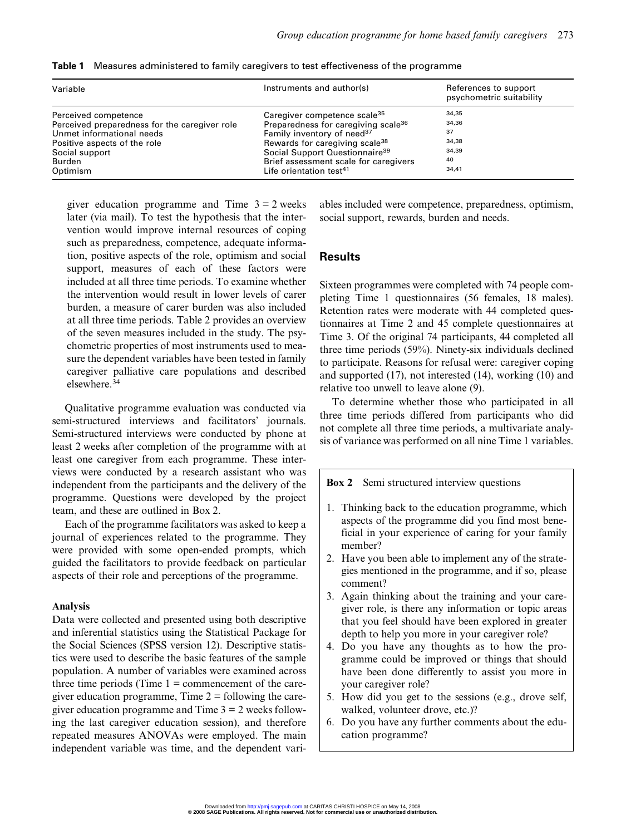| Variable                                      | Instruments and author(s)<br>Caregiver competence scale <sup>35</sup><br>Preparedness for caregiving scale <sup>36</sup><br>Family inventory of need <sup>37</sup><br>Rewards for caregiving scale <sup>38</sup><br>Social Support Questionnaire <sup>39</sup> | References to support<br>psychometric suitability |  |  |
|-----------------------------------------------|----------------------------------------------------------------------------------------------------------------------------------------------------------------------------------------------------------------------------------------------------------------|---------------------------------------------------|--|--|
| Perceived competence                          |                                                                                                                                                                                                                                                                | 34,35                                             |  |  |
| Perceived preparedness for the caregiver role |                                                                                                                                                                                                                                                                | 34,36                                             |  |  |
| Unmet informational needs                     |                                                                                                                                                                                                                                                                | 37                                                |  |  |
| Positive aspects of the role                  |                                                                                                                                                                                                                                                                | 34,38                                             |  |  |
| Social support                                |                                                                                                                                                                                                                                                                | 34,39                                             |  |  |
| Burden                                        | Brief assessment scale for caregivers                                                                                                                                                                                                                          | 40                                                |  |  |
| Optimism                                      | Life orientation test <sup>41</sup>                                                                                                                                                                                                                            | 34,41                                             |  |  |

Table 1 Measures administered to family caregivers to test effectiveness of the programme

giver education programme and Time  $3 = 2$  weeks later (via mail). To test the hypothesis that the intervention would improve internal resources of coping such as preparedness, competence, adequate information, positive aspects of the role, optimism and social support, measures of each of these factors were included at all three time periods. To examine whether the intervention would result in lower levels of carer burden, a measure of carer burden was also included at all three time periods. Table 2 provides an overview of the seven measures included in the study. The psychometric properties of most instruments used to measure the dependent variables have been tested in family caregiver palliative care populations and described elsewhere.<sup>34</sup>

Qualitative programme evaluation was conducted via semi-structured interviews and facilitators' journals. Semi-structured interviews were conducted by phone at least 2 weeks after completion of the programme with at least one caregiver from each programme. These interviews were conducted by a research assistant who was independent from the participants and the delivery of the programme. Questions were developed by the project team, and these are outlined in Box 2.

Each of the programme facilitators was asked to keep a journal of experiences related to the programme. They were provided with some open-ended prompts, which guided the facilitators to provide feedback on particular aspects of their role and perceptions of the programme.

## Analysis

Data were collected and presented using both descriptive and inferential statistics using the Statistical Package for the Social Sciences (SPSS version 12). Descriptive statistics were used to describe the basic features of the sample population. A number of variables were examined across three time periods (Time  $1 =$  commencement of the caregiver education programme, Time  $2 =$  following the caregiver education programme and Time  $3 = 2$  weeks following the last caregiver education session), and therefore repeated measures ANOVAs were employed. The main independent variable was time, and the dependent variables included were competence, preparedness, optimism, social support, rewards, burden and needs.

# **Results**

Sixteen programmes were completed with 74 people completing Time 1 questionnaires (56 females, 18 males). Retention rates were moderate with 44 completed questionnaires at Time 2 and 45 complete questionnaires at Time 3. Of the original 74 participants, 44 completed all three time periods (59%). Ninety-six individuals declined to participate. Reasons for refusal were: caregiver coping and supported (17), not interested (14), working (10) and relative too unwell to leave alone (9).

To determine whether those who participated in all three time periods differed from participants who did not complete all three time periods, a multivariate analysis of variance was performed on all nine Time 1 variables.

Box 2 Semi structured interview questions

- 1. Thinking back to the education programme, which aspects of the programme did you find most beneficial in your experience of caring for your family member?
- 2. Have you been able to implement any of the strategies mentioned in the programme, and if so, please comment?
- 3. Again thinking about the training and your caregiver role, is there any information or topic areas that you feel should have been explored in greater depth to help you more in your caregiver role?
- 4. Do you have any thoughts as to how the programme could be improved or things that should have been done differently to assist you more in your caregiver role?
- 5. How did you get to the sessions (e.g., drove self, walked, volunteer drove, etc.)?
- 6. Do you have any further comments about the education programme?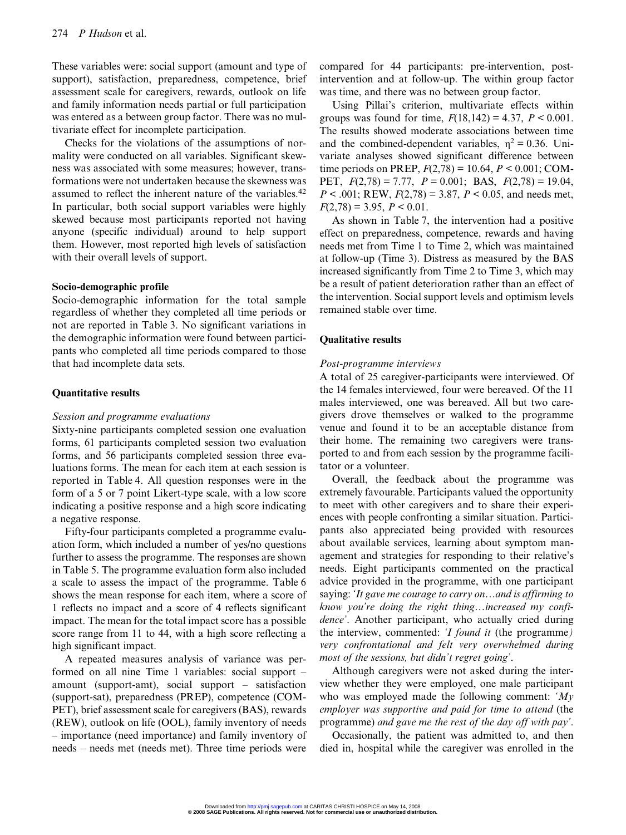These variables were: social support (amount and type of support), satisfaction, preparedness, competence, brief assessment scale for caregivers, rewards, outlook on life and family information needs partial or full participation was entered as a between group factor. There was no multivariate effect for incomplete participation.

Checks for the violations of the assumptions of normality were conducted on all variables. Significant skewness was associated with some measures; however, transformations were not undertaken because the skewness was assumed to reflect the inherent nature of the variables.<sup>42</sup> In particular, both social support variables were highly skewed because most participants reported not having anyone (specific individual) around to help support them. However, most reported high levels of satisfaction with their overall levels of support.

# Socio-demographic profile

Socio-demographic information for the total sample regardless of whether they completed all time periods or not are reported in Table 3. No significant variations in the demographic information were found between participants who completed all time periods compared to those that had incomplete data sets.

#### Quantitative results

#### Session and programme evaluations

Sixty-nine participants completed session one evaluation forms, 61 participants completed session two evaluation forms, and 56 participants completed session three evaluations forms. The mean for each item at each session is reported in Table 4. All question responses were in the form of a 5 or 7 point Likert-type scale, with a low score indicating a positive response and a high score indicating a negative response.

Fifty-four participants completed a programme evaluation form, which included a number of yes/no questions further to assess the programme. The responses are shown in Table 5. The programme evaluation form also included a scale to assess the impact of the programme. Table 6 shows the mean response for each item, where a score of 1 reflects no impact and a score of 4 reflects significant impact. The mean for the total impact score has a possible score range from 11 to 44, with a high score reflecting a high significant impact.

A repeated measures analysis of variance was performed on all nine Time 1 variables: social support – amount (support-amt), social support – satisfaction (support-sat), preparedness (PREP), competence (COM-PET), brief assessment scale for caregivers (BAS), rewards (REW), outlook on life (OOL), family inventory of needs – importance (need importance) and family inventory of needs – needs met (needs met). Three time periods were

compared for 44 participants: pre-intervention, postintervention and at follow-up. The within group factor was time, and there was no between group factor.

Using Pillai's criterion, multivariate effects within groups was found for time,  $F(18,142) = 4.37$ ,  $P < 0.001$ . The results showed moderate associations between time and the combined-dependent variables,  $\eta^2 = 0.36$ . Univariate analyses showed significant difference between time periods on PREP,  $F(2,78) = 10.64$ ,  $P < 0.001$ ; COM-PET,  $F(2,78) = 7.77$ ,  $P = 0.001$ ; BAS,  $F(2,78) = 19.04$ ,  $P < .001$ ; REW,  $F(2,78) = 3.87$ ,  $P < 0.05$ , and needs met,  $F(2,78) = 3.95$ ,  $P < 0.01$ .

As shown in Table 7, the intervention had a positive effect on preparedness, competence, rewards and having needs met from Time 1 to Time 2, which was maintained at follow-up (Time 3). Distress as measured by the BAS increased significantly from Time 2 to Time 3, which may be a result of patient deterioration rather than an effect of the intervention. Social support levels and optimism levels remained stable over time.

#### Qualitative results

#### Post-programme interviews

A total of 25 caregiver-participants were interviewed. Of the 14 females interviewed, four were bereaved. Of the 11 males interviewed, one was bereaved. All but two caregivers drove themselves or walked to the programme venue and found it to be an acceptable distance from their home. The remaining two caregivers were transported to and from each session by the programme facilitator or a volunteer.

Overall, the feedback about the programme was extremely favourable. Participants valued the opportunity to meet with other caregivers and to share their experiences with people confronting a similar situation. Participants also appreciated being provided with resources about available services, learning about symptom management and strategies for responding to their relative's needs. Eight participants commented on the practical advice provided in the programme, with one participant saying: 'It gave me courage to carry on…and is affirming to know you're doing the right thing…increased my confidence'. Another participant, who actually cried during the interview, commented: 'I found it (the programme) very confrontational and felt very overwhelmed during most of the sessions, but didn't regret going'.

Although caregivers were not asked during the interview whether they were employed, one male participant who was employed made the following comment:  $My$ employer was supportive and paid for time to attend (the programme) and gave me the rest of the day off with pay'.

Occasionally, the patient was admitted to, and then died in, hospital while the caregiver was enrolled in the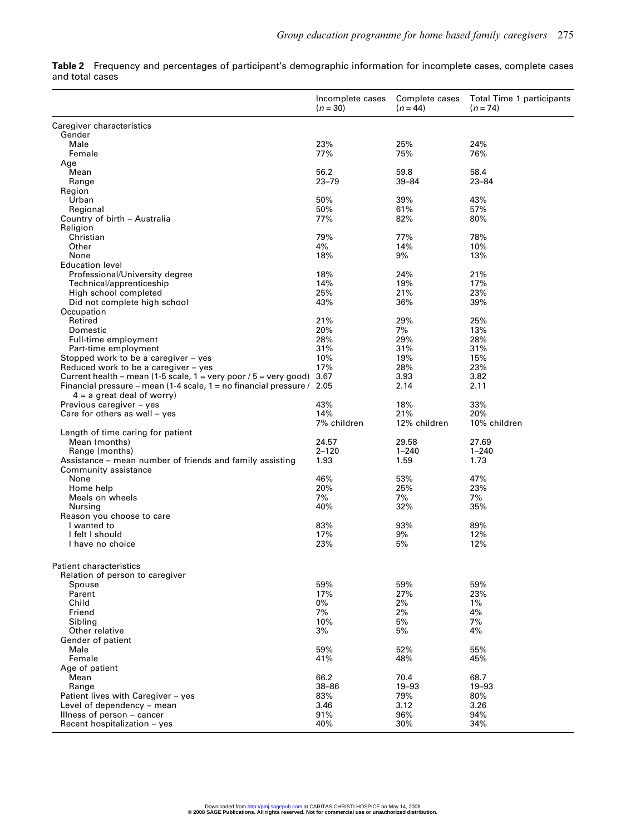Table 2 Frequency and percentages of participant's demographic information for incomplete cases, complete cases and total cases

|                                                                                         | Incomplete cases<br>$(n = 30)$ | Complete cases<br>$(n = 44)$ | Total Time 1 participants<br>$(n=74)$ |
|-----------------------------------------------------------------------------------------|--------------------------------|------------------------------|---------------------------------------|
| Caregiver characteristics                                                               |                                |                              |                                       |
| Gender                                                                                  |                                |                              |                                       |
| Male                                                                                    | 23%                            | 25%                          | 24%                                   |
| Female                                                                                  | 77%                            | 75%                          | 76%                                   |
| Age<br>Mean                                                                             | 56.2                           | 59.8                         | 58.4                                  |
| Range                                                                                   | $23 - 79$                      | $39 - 84$                    | $23 - 84$                             |
| Region                                                                                  |                                |                              |                                       |
| Urban                                                                                   | 50%                            | 39%                          | 43%                                   |
| Regional                                                                                | 50%                            | 61%                          | 57%                                   |
| Country of birth - Australia                                                            | 77%                            | 82%                          | 80%                                   |
| Religion                                                                                |                                |                              |                                       |
| Christian<br>Other                                                                      | 79%<br>4%                      | 77%<br>14%                   | 78%<br>10%                            |
| None                                                                                    | 18%                            | 9%                           | 13%                                   |
| <b>Education level</b>                                                                  |                                |                              |                                       |
| Professional/University degree                                                          | 18%                            | 24%                          | 21%                                   |
| Technical/apprenticeship                                                                | 14%                            | 19%                          | 17%                                   |
| High school completed                                                                   | 25%                            | 21%                          | 23%                                   |
| Did not complete high school                                                            | 43%                            | 36%                          | 39%                                   |
| Occupation                                                                              |                                |                              |                                       |
| Retired<br>Domestic                                                                     | 21%<br>20%                     | 29%<br>7%                    | 25%<br>13%                            |
| Full-time employment                                                                    | 28%                            | 29%                          | 28%                                   |
| Part-time employment                                                                    | 31%                            | 31%                          | 31%                                   |
| Stopped work to be a caregiver - yes                                                    | 10%                            | 19%                          | 15%                                   |
| Reduced work to be a caregiver - yes                                                    | 17%                            | 28%                          | 23%                                   |
| Current health – mean (1-5 scale, $1 = \text{very poor } / 5 = \text{very good}$ ) 3.67 |                                | 3.93                         | 3.82                                  |
| Financial pressure – mean (1-4 scale, 1 = no financial pressure / $2.05$                |                                | 2.14                         | 2.11                                  |
| $4 = a$ great deal of worry)                                                            |                                |                              |                                       |
| Previous caregiver - yes<br>Care for others as well $-$ yes                             | 43%<br>14%                     | 18%<br>21%                   | 33%<br>20%                            |
|                                                                                         | 7% children                    | 12% children                 | 10% children                          |
| Length of time caring for patient                                                       |                                |                              |                                       |
| Mean (months)                                                                           | 24.57                          | 29.58                        | 27.69                                 |
| Range (months)                                                                          | $2 - 120$                      | $1 - 240$                    | $1 - 240$                             |
| Assistance – mean number of friends and family assisting                                | 1.93                           | 1.59                         | 1.73                                  |
| Community assistance<br>None                                                            |                                |                              |                                       |
| Home help                                                                               | 46%<br>20%                     | 53%<br>25%                   | 47%<br>23%                            |
| Meals on wheels                                                                         | 7%                             | 7%                           | 7%                                    |
| Nursing                                                                                 | 40%                            | 32%                          | 35%                                   |
| Reason you choose to care                                                               |                                |                              |                                       |
| I wanted to                                                                             | 83%                            | 93%                          | 89%                                   |
| I felt I should                                                                         | 17%                            | 9%                           | 12%                                   |
| I have no choice                                                                        | 23%                            | 5%                           | 12%                                   |
| <b>Patient characteristics</b>                                                          |                                |                              |                                       |
| Relation of person to caregiver                                                         |                                |                              |                                       |
| Spouse                                                                                  | 59%                            | 59%                          | 59%                                   |
| Parent                                                                                  | 17%                            | 27%                          | 23%                                   |
| Child                                                                                   | $0\%$                          | 2%                           | $1\%$                                 |
| Friend                                                                                  | 7%                             | 2%                           | 4%                                    |
| Siblina                                                                                 | 10%                            | 5%                           | 7%                                    |
| Other relative                                                                          | 3%                             | 5%                           | 4%                                    |
| Gender of patient<br>Male                                                               | 59%                            | 52%                          | 55%                                   |
| Female                                                                                  | 41%                            | 48%                          | 45%                                   |
| Age of patient                                                                          |                                |                              |                                       |
| Mean                                                                                    | 66.2                           | 70.4                         | 68.7                                  |
| Range                                                                                   | $38 - 86$                      | 19-93                        | 19-93                                 |
| Patient lives with Caregiver - yes                                                      | 83%                            | 79%                          | 80%                                   |
| Level of dependency - mean                                                              | 3.46                           | 3.12                         | 3.26                                  |
| Illness of person – cancer                                                              | 91%                            | 96%                          | 94%                                   |
| Recent hospitalization - yes                                                            | 40%                            | 30%                          | 34%                                   |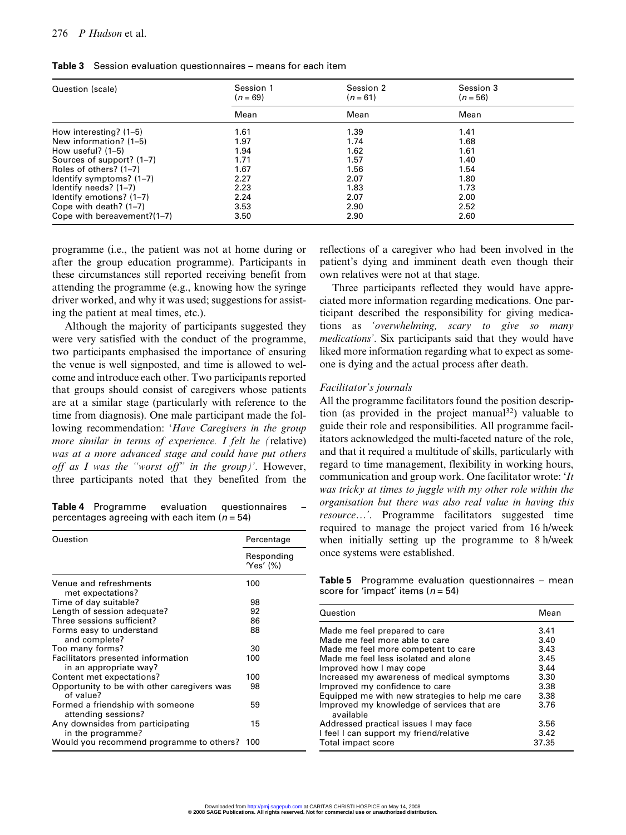| Question (scale)            | Session 1<br>$(n = 69)$ | Session 2<br>$(n = 61)$ | Session 3<br>$(n = 56)$ |  |
|-----------------------------|-------------------------|-------------------------|-------------------------|--|
|                             | Mean                    | Mean                    | Mean                    |  |
| How interesting? (1-5)      | 1.61                    | 1.39                    | 1.41                    |  |
| New information? (1–5)      | 1.97                    | 1.74                    | 1.68                    |  |
| How useful? $(1-5)$         | 1.94                    | 1.62                    | 1.61                    |  |
| Sources of support? (1-7)   | 1.71                    | 1.57                    | 1.40                    |  |
| Roles of others? (1–7)      | 1.67                    | 1.56                    | 1.54                    |  |
| Identify symptoms? (1-7)    | 2.27                    | 2.07                    | 1.80                    |  |
| Identify needs? (1-7)       | 2.23                    | 1.83                    | 1.73                    |  |
| Identify emotions? (1-7)    | 2.24                    | 2.07                    | 2.00                    |  |
| Cope with death? $(1-7)$    | 3.53                    | 2.90                    | 2.52                    |  |
| Cope with bereavement?(1-7) | 3.50                    | 2.90                    | 2.60                    |  |

Table 3 Session evaluation questionnaires – means for each item

programme (i.e., the patient was not at home during or after the group education programme). Participants in these circumstances still reported receiving benefit from attending the programme (e.g., knowing how the syringe driver worked, and why it was used; suggestions for assisting the patient at meal times, etc.).

Although the majority of participants suggested they were very satisfied with the conduct of the programme, two participants emphasised the importance of ensuring the venue is well signposted, and time is allowed to welcome and introduce each other. Two participants reported that groups should consist of caregivers whose patients are at a similar stage (particularly with reference to the time from diagnosis). One male participant made the following recommendation: 'Have Caregivers in the group more similar in terms of experience. I felt he (relative) was at a more advanced stage and could have put others off as I was the "worst off" in the group)'. However, three participants noted that they benefited from the

Table 4 Programme evaluation questionnaires percentages agreeing with each item  $(n = 54)$ 

| Question                                                     | Percentage              |  |  |
|--------------------------------------------------------------|-------------------------|--|--|
|                                                              | Responding<br>'Yes' (%) |  |  |
| Venue and refreshments<br>met expectations?                  | 100                     |  |  |
| Time of day suitable?                                        | 98                      |  |  |
| Length of session adequate?                                  | 92                      |  |  |
| Three sessions sufficient?                                   | 86                      |  |  |
| Forms easy to understand<br>and complete?                    | 88                      |  |  |
| Too many forms?                                              | 30                      |  |  |
| Facilitators presented information<br>in an appropriate way? | 100                     |  |  |
| Content met expectations?                                    | 100                     |  |  |
| Opportunity to be with other caregivers was<br>of value?     | 98                      |  |  |
| Formed a friendship with someone<br>attending sessions?      | 59                      |  |  |
| Any downsides from participating<br>in the programme?        | 15                      |  |  |
| Would you recommend programme to others?                     | 100                     |  |  |

reflections of a caregiver who had been involved in the patient's dying and imminent death even though their own relatives were not at that stage.

Three participants reflected they would have appreciated more information regarding medications. One participant described the responsibility for giving medications as 'overwhelming, scary to give so many medications'. Six participants said that they would have liked more information regarding what to expect as someone is dying and the actual process after death.

#### Facilitator's journals

All the programme facilitators found the position description (as provided in the project manual<sup>32</sup>) valuable to guide their role and responsibilities. All programme facilitators acknowledged the multi-faceted nature of the role, and that it required a multitude of skills, particularly with regard to time management, flexibility in working hours, communication and group work. One facilitator wrote: 'It was tricky at times to juggle with my other role within the organisation but there was also real value in having this resource…'. Programme facilitators suggested time required to manage the project varied from 16 h/week when initially setting up the programme to 8 h/week once systems were established.

Table 5 Programme evaluation questionnaires - mean score for 'impact' items ( $n = 54$ )

| Question                                                | Mean  |
|---------------------------------------------------------|-------|
| Made me feel prepared to care                           | 3.41  |
| Made me feel more able to care                          | 3.40  |
| Made me feel more competent to care                     | 3.43  |
| Made me feel less isolated and alone                    | 3.45  |
| Improved how I may cope                                 | 3.44  |
| Increased my awareness of medical symptoms              | 3.30  |
| Improved my confidence to care                          | 3.38  |
| Equipped me with new strategies to help me care         | 3.38  |
| Improved my knowledge of services that are<br>available | 3.76  |
| Addressed practical issues I may face                   | 3.56  |
| I feel I can support my friend/relative                 | 3.42  |
| Total impact score                                      | 37.35 |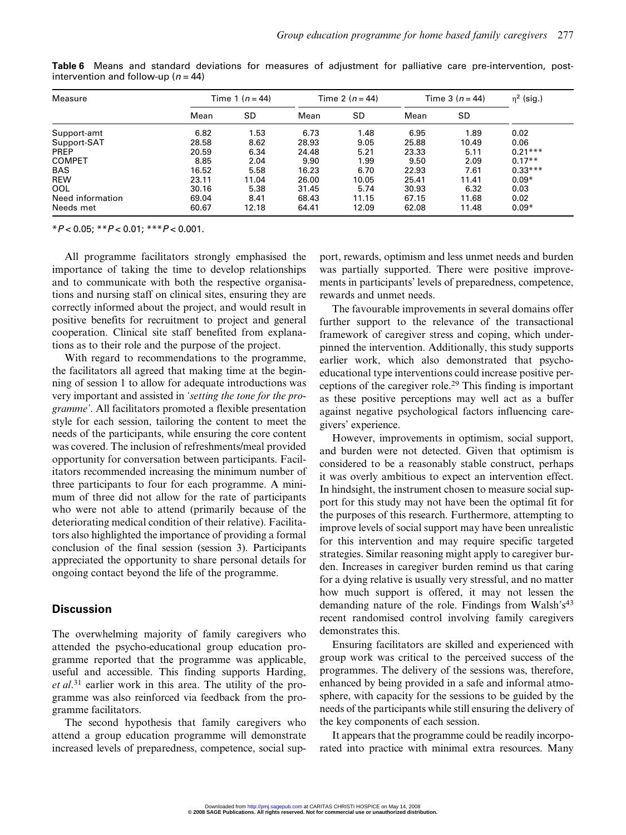| Measure          | Time 1 ( $n = 44$ ) |       | Time 2 $(n = 44)$ |       | Time $3(n = 44)$ |       | $\eta^2$ (sig.) |
|------------------|---------------------|-------|-------------------|-------|------------------|-------|-----------------|
|                  | Mean                | SD    | Mean              | SD    | Mean             | SD    |                 |
| Support-amt      | 6.82                | 1.53  | 6.73              | 1.48  | 6.95             | 1.89  | 0.02            |
| Support-SAT      | 28.58               | 8.62  | 28.93             | 9.05  | 25.88            | 10.49 | 0.06            |
| <b>PREP</b>      | 20.59               | 6.34  | 24.48             | 5.21  | 23.33            | 5.11  | $0.21***$       |
| <b>COMPET</b>    | 8.85                | 2.04  | 9.90              | 1.99  | 9.50             | 2.09  | $0.17**$        |
| <b>BAS</b>       | 16.52               | 5.58  | 16.23             | 6.70  | 22.93            | 7.61  | $0.33***$       |
| <b>REW</b>       | 23.11               | 11.04 | 26.00             | 10.05 | 25.41            | 11.41 | $0.09*$         |
| OOL              | 30.16               | 5.38  | 31.45             | 5.74  | 30.93            | 6.32  | 0.03            |
| Need information | 69.04               | 8.41  | 68.43             | 11.15 | 67.15            | 11.68 | 0.02            |
| Needs met        | 60.67               | 12.18 | 64.41             | 12.09 | 62.08            | 11.48 | $0.09*$         |

Table 6 Means and standard deviations for measures of adjustment for palliative care pre-intervention, postintervention and follow-up ( $n = 44$ )

 $*P < 0.05; *P < 0.01; **P < 0.001.$ 

All programme facilitators strongly emphasised the importance of taking the time to develop relationships and to communicate with both the respective organisations and nursing staff on clinical sites, ensuring they are correctly informed about the project, and would result in positive benefits for recruitment to project and general cooperation. Clinical site staff benefited from explanations as to their role and the purpose of the project.

With regard to recommendations to the programme, the facilitators all agreed that making time at the beginning of session 1 to allow for adequate introductions was very important and assisted in 'setting the tone for the programme'. All facilitators promoted a flexible presentation style for each session, tailoring the content to meet the needs of the participants, while ensuring the core content was covered. The inclusion of refreshments/meal provided opportunity for conversation between participants. Facilitators recommended increasing the minimum number of three participants to four for each programme. A minimum of three did not allow for the rate of participants who were not able to attend (primarily because of the deteriorating medical condition of their relative). Facilitators also highlighted the importance of providing a formal conclusion of the final session (session 3). Participants appreciated the opportunity to share personal details for ongoing contact beyond the life of the programme.

# **Discussion**

The overwhelming majority of family caregivers who attended the psycho-educational group education programme reported that the programme was applicable, useful and accessible. This finding supports Harding, et al.<sup>31</sup> earlier work in this area. The utility of the programme was also reinforced via feedback from the programme facilitators.

The second hypothesis that family caregivers who attend a group education programme will demonstrate increased levels of preparedness, competence, social support, rewards, optimism and less unmet needs and burden was partially supported. There were positive improvements in participants' levels of preparedness, competence, rewards and unmet needs.

The favourable improvements in several domains offer further support to the relevance of the transactional framework of caregiver stress and coping, which underpinned the intervention. Additionally, this study supports earlier work, which also demonstrated that psychoeducational type interventions could increase positive perceptions of the caregiver role.<sup>29</sup> This finding is important as these positive perceptions may well act as a buffer against negative psychological factors influencing caregivers' experience.

However, improvements in optimism, social support, and burden were not detected. Given that optimism is considered to be a reasonably stable construct, perhaps it was overly ambitious to expect an intervention effect. In hindsight, the instrument chosen to measure social support for this study may not have been the optimal fit for the purposes of this research. Furthermore, attempting to improve levels of social support may have been unrealistic for this intervention and may require specific targeted strategies. Similar reasoning might apply to caregiver burden. Increases in caregiver burden remind us that caring for a dying relative is usually very stressful, and no matter how much support is offered, it may not lessen the demanding nature of the role. Findings from Walsh's $43$ recent randomised control involving family caregivers demonstrates this.

Ensuring facilitators are skilled and experienced with group work was critical to the perceived success of the programmes. The delivery of the sessions was, therefore, enhanced by being provided in a safe and informal atmosphere, with capacity for the sessions to be guided by the needs of the participants while still ensuring the delivery of the key components of each session.

It appears that the programme could be readily incorporated into practice with minimal extra resources. Many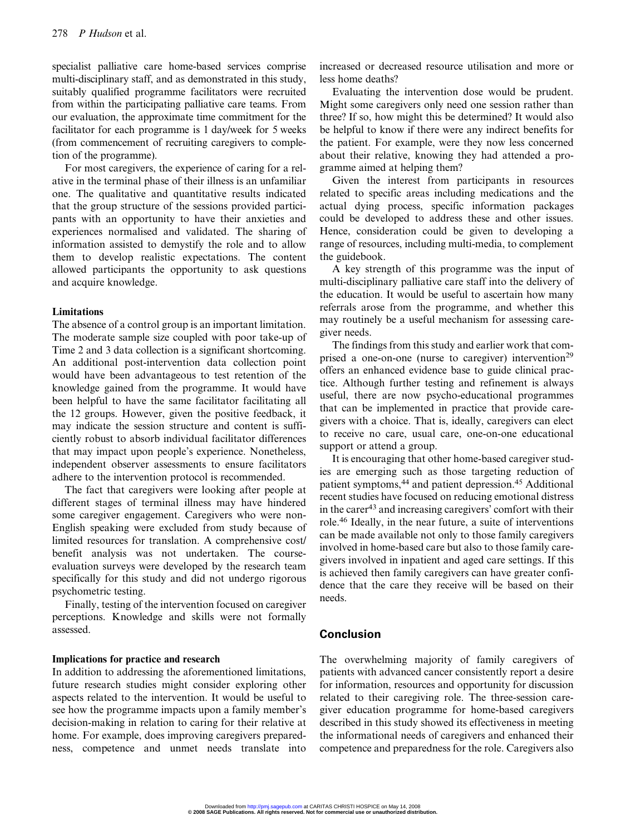specialist palliative care home-based services comprise multi-disciplinary staff, and as demonstrated in this study, suitably qualified programme facilitators were recruited from within the participating palliative care teams. From our evaluation, the approximate time commitment for the facilitator for each programme is 1 day/week for 5 weeks (from commencement of recruiting caregivers to completion of the programme).

For most caregivers, the experience of caring for a relative in the terminal phase of their illness is an unfamiliar one. The qualitative and quantitative results indicated that the group structure of the sessions provided participants with an opportunity to have their anxieties and experiences normalised and validated. The sharing of information assisted to demystify the role and to allow them to develop realistic expectations. The content allowed participants the opportunity to ask questions and acquire knowledge.

## Limitations

The absence of a control group is an important limitation. The moderate sample size coupled with poor take-up of Time 2 and 3 data collection is a significant shortcoming. An additional post-intervention data collection point would have been advantageous to test retention of the knowledge gained from the programme. It would have been helpful to have the same facilitator facilitating all the 12 groups. However, given the positive feedback, it may indicate the session structure and content is sufficiently robust to absorb individual facilitator differences that may impact upon people's experience. Nonetheless, independent observer assessments to ensure facilitators adhere to the intervention protocol is recommended.

The fact that caregivers were looking after people at different stages of terminal illness may have hindered some caregiver engagement. Caregivers who were non-English speaking were excluded from study because of limited resources for translation. A comprehensive cost/ benefit analysis was not undertaken. The courseevaluation surveys were developed by the research team specifically for this study and did not undergo rigorous psychometric testing.

Finally, testing of the intervention focused on caregiver perceptions. Knowledge and skills were not formally assessed.

#### Implications for practice and research

In addition to addressing the aforementioned limitations, future research studies might consider exploring other aspects related to the intervention. It would be useful to see how the programme impacts upon a family member's decision-making in relation to caring for their relative at home. For example, does improving caregivers preparedness, competence and unmet needs translate into increased or decreased resource utilisation and more or less home deaths?

Evaluating the intervention dose would be prudent. Might some caregivers only need one session rather than three? If so, how might this be determined? It would also be helpful to know if there were any indirect benefits for the patient. For example, were they now less concerned about their relative, knowing they had attended a programme aimed at helping them?

Given the interest from participants in resources related to specific areas including medications and the actual dying process, specific information packages could be developed to address these and other issues. Hence, consideration could be given to developing a range of resources, including multi-media, to complement the guidebook.

A key strength of this programme was the input of multi-disciplinary palliative care staff into the delivery of the education. It would be useful to ascertain how many referrals arose from the programme, and whether this may routinely be a useful mechanism for assessing caregiver needs.

The findings from this study and earlier work that comprised a one-on-one (nurse to caregiver) intervention<sup>29</sup> offers an enhanced evidence base to guide clinical practice. Although further testing and refinement is always useful, there are now psycho-educational programmes that can be implemented in practice that provide caregivers with a choice. That is, ideally, caregivers can elect to receive no care, usual care, one-on-one educational support or attend a group.

It is encouraging that other home-based caregiver studies are emerging such as those targeting reduction of patient symptoms,<sup>44</sup> and patient depression.<sup>45</sup> Additional recent studies have focused on reducing emotional distress in the carer<sup>43</sup> and increasing caregivers' comfort with their role.46 Ideally, in the near future, a suite of interventions can be made available not only to those family caregivers involved in home-based care but also to those family caregivers involved in inpatient and aged care settings. If this is achieved then family caregivers can have greater confidence that the care they receive will be based on their needs.

# Conclusion

The overwhelming majority of family caregivers of patients with advanced cancer consistently report a desire for information, resources and opportunity for discussion related to their caregiving role. The three-session caregiver education programme for home-based caregivers described in this study showed its effectiveness in meeting the informational needs of caregivers and enhanced their competence and preparedness for the role. Caregivers also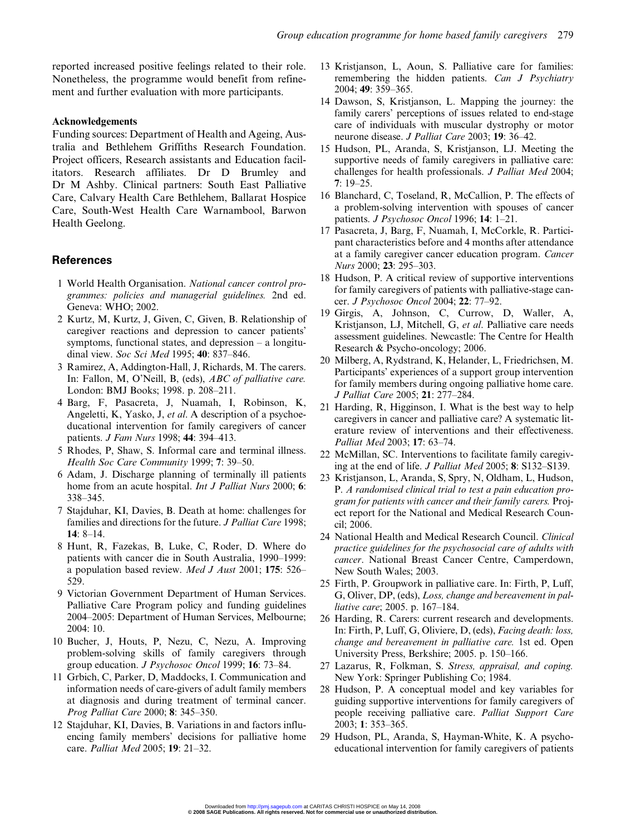reported increased positive feelings related to their role. Nonetheless, the programme would benefit from refinement and further evaluation with more participants.

# Acknowledgements

Funding sources: Department of Health and Ageing, Australia and Bethlehem Griffiths Research Foundation. Project officers, Research assistants and Education facilitators. Research affiliates. Dr D Brumley and Dr M Ashby. Clinical partners: South East Palliative Care, Calvary Health Care Bethlehem, Ballarat Hospice Care, South-West Health Care Warnambool, Barwon Health Geelong.

# **References**

- 1 World Health Organisation. National cancer control programmes: policies and managerial guidelines. 2nd ed. Geneva: WHO; 2002.
- 2 Kurtz, M, Kurtz, J, Given, C, Given, B. Relationship of caregiver reactions and depression to cancer patients' symptoms, functional states, and depression – a longitudinal view. Soc Sci Med 1995; 40: 837-846.
- 3 Ramirez, A, Addington-Hall, J, Richards, M. The carers. In: Fallon, M, O'Neill, B, (eds), ABC of palliative care. London: BMJ Books; 1998. p. 208–211.
- 4 Barg, F, Pasacreta, J, Nuamah, I, Robinson, K, Angeletti, K, Yasko, J, et al. A description of a psychoeducational intervention for family caregivers of cancer patients. J Fam Nurs 1998; 44: 394–413.
- 5 Rhodes, P, Shaw, S. Informal care and terminal illness. Health Soc Care Community 1999; 7: 39–50.
- 6 Adam, J. Discharge planning of terminally ill patients home from an acute hospital. *Int J Palliat Nurs* 2000; 6: 338–345.
- 7 Stajduhar, KI, Davies, B. Death at home: challenges for families and directions for the future. *J Palliat Care* 1998; 14: 8–14.
- 8 Hunt, R, Fazekas, B, Luke, C, Roder, D. Where do patients with cancer die in South Australia, 1990–1999: a population based review. Med J Aust 2001; 175: 526– 529.
- 9 Victorian Government Department of Human Services. Palliative Care Program policy and funding guidelines 2004–2005: Department of Human Services, Melbourne; 2004: 10.
- 10 Bucher, J, Houts, P, Nezu, C, Nezu, A. Improving problem-solving skills of family caregivers through group education. J Psychosoc Oncol 1999; 16: 73–84.
- 11 Grbich, C, Parker, D, Maddocks, I. Communication and information needs of care-givers of adult family members at diagnosis and during treatment of terminal cancer. Prog Palliat Care 2000; 8: 345–350.
- 12 Stajduhar, KI, Davies, B. Variations in and factors influencing family members' decisions for palliative home care. Palliat Med 2005; 19: 21–32.
- 13 Kristjanson, L, Aoun, S. Palliative care for families: remembering the hidden patients. Can J Psychiatry 2004; 49: 359–365.
- 14 Dawson, S, Kristjanson, L. Mapping the journey: the family carers' perceptions of issues related to end-stage care of individuals with muscular dystrophy or motor neurone disease. J Palliat Care 2003; 19: 36–42.
- 15 Hudson, PL, Aranda, S, Kristjanson, LJ. Meeting the supportive needs of family caregivers in palliative care: challenges for health professionals. J Palliat Med 2004; 7: 19–25.
- 16 Blanchard, C, Toseland, R, McCallion, P. The effects of a problem-solving intervention with spouses of cancer patients. J Psychosoc Oncol 1996; 14: 1–21.
- 17 Pasacreta, J, Barg, F, Nuamah, I, McCorkle, R. Participant characteristics before and 4 months after attendance at a family caregiver cancer education program. Cancer Nurs 2000; 23: 295–303.
- 18 Hudson, P. A critical review of supportive interventions for family caregivers of patients with palliative-stage cancer. J Psychosoc Oncol 2004; 22: 77–92.
- 19 Girgis, A, Johnson, C, Currow, D, Waller, A, Kristjanson, LJ, Mitchell, G, et al. Palliative care needs assessment guidelines. Newcastle: The Centre for Health Research & Psycho-oncology; 2006.
- 20 Milberg, A, Rydstrand, K, Helander, L, Friedrichsen, M. Participants' experiences of a support group intervention for family members during ongoing palliative home care. J Palliat Care 2005; 21: 277–284.
- 21 Harding, R, Higginson, I. What is the best way to help caregivers in cancer and palliative care? A systematic literature review of interventions and their effectiveness. Palliat Med 2003; 17: 63–74.
- 22 McMillan, SC. Interventions to facilitate family caregiving at the end of life. J Palliat Med 2005; 8: S132–S139.
- 23 Kristjanson, L, Aranda, S, Spry, N, Oldham, L, Hudson, P. A randomised clinical trial to test a pain education program for patients with cancer and their family carers. Project report for the National and Medical Research Council; 2006.
- 24 National Health and Medical Research Council. Clinical practice guidelines for the psychosocial care of adults with cancer. National Breast Cancer Centre, Camperdown, New South Wales; 2003.
- 25 Firth, P. Groupwork in palliative care. In: Firth, P, Luff, G, Oliver, DP, (eds), Loss, change and bereavement in palliative care; 2005. p. 167–184.
- 26 Harding, R. Carers: current research and developments. In: Firth, P, Luff, G, Oliviere, D, (eds), Facing death: loss, change and bereavement in palliative care. 1st ed. Open University Press, Berkshire; 2005. p. 150–166.
- 27 Lazarus, R, Folkman, S. Stress, appraisal, and coping. New York: Springer Publishing Co; 1984.
- 28 Hudson, P. A conceptual model and key variables for guiding supportive interventions for family caregivers of people receiving palliative care. Palliat Support Care 2003; 1: 353–365.
- 29 Hudson, PL, Aranda, S, Hayman-White, K. A psychoeducational intervention for family caregivers of patients